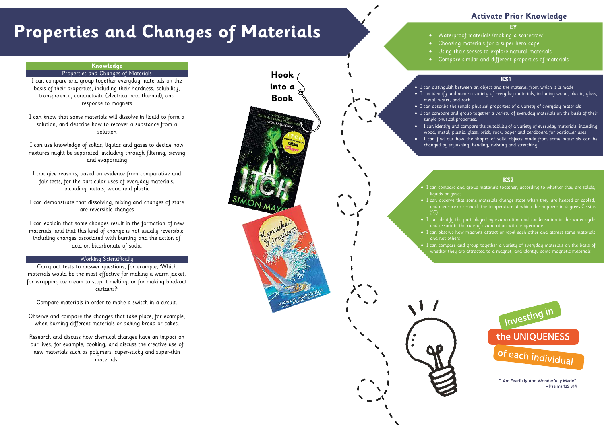# **Properties and Changes of Materials**

#### **EY**

- Waterproof materials (making a scarecrow)
	- Choosing materials for a super hero cape
	- Using their senses to explore natural materials
	- Compare similar and different properties of materials

## **Activate Prior Knowledge**

#### **KS1**

- I can distinguish between an object and the material from which it is made
- I can identify and name a variety of everyday materials, including wood, plastic, glass,
- I can describe the simple physical properties of a variety of everyday materials
- I can compare and group together a variety of everyday materials on the basis of their
	- I can identify and compare the suitability of a variety of everyday materials, including wood, metal, plastic, glass, brick, rock, paper and cardboard for particular uses I can find out how the shapes of solid objects made from some materials can be
	- changed by squashing, bending, twisting and stretching.

#### **KS2**

- I can compare and group materials together, according to whether they are solids,
- I can observe that some materials change state when they are heated or cooled, and measure or research the temperature at which this happens in degrees Celsius
- I can identify the part played by evaporation and condensation in the water cycle and associate the rate of evaporation with temperature.
- I can observe how magnets attract or repel each other and attract some materials
	- I can compare and group together a variety of everyday materials on the basis of whether they are attracted to a magnet, and identify some magnetic materials



"I Am Fearfully And Wonderfully Made"  $-$  Psalms 139 v14

## **Knowledge**

### Properties and Changes of Materials

I can compare and group together everyday materials on the basis of their properties, including their hardness, solubility, transparency, conductivity (electrical and thermal), and response to magnets



I can know that some materials will dissolve in liquid to form a solution, and describe how to recover a substance from a solution

I can use knowledge of solids, liquids and gases to decide how mixtures might be separated, including through filtering, sieving and evaporating

I can give reasons, based on evidence from comparative and fair tests, for the particular uses of everyday materials, including metals, wood and plastic

I can demonstrate that dissolving, mixing and changes of state are reversible changes

I can explain that some changes result in the formation of new materials, and that this kind of change is not usually reversible, including changes associated with burning and the action of acid on bicarbonate of soda.

#### Working Scientifically

Carry out tests to answer questions, for example, 'Which materials would be the most effective for making a warm jacket, for wrapping ice cream to stop it melting, or for making blackout curtains?'

Compare materials in order to make a switch in a circuit.

Observe and compare the changes that take place, for example, when burning different materials or baking bread or cakes.

Research and discuss how chemical changes have an impact on our lives, for example, cooking, and discuss the creative use of new materials such as polymers, super-sticky and super-thin materials.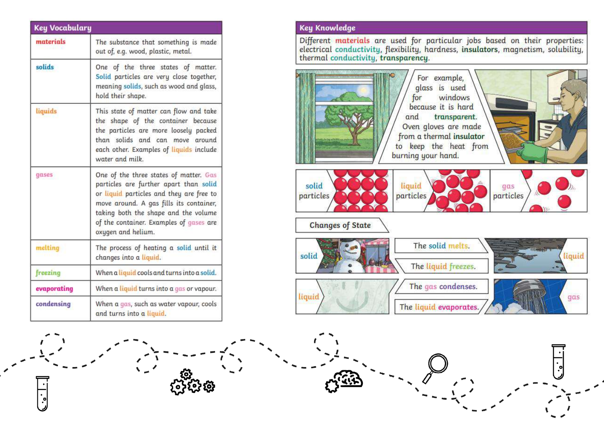| materials                                                                                                                                                                                                                                                                                 | The substance that something is made<br>out of, e.g. wood, plastic, metal.                                                                                                                                             |  |  |
|-------------------------------------------------------------------------------------------------------------------------------------------------------------------------------------------------------------------------------------------------------------------------------------------|------------------------------------------------------------------------------------------------------------------------------------------------------------------------------------------------------------------------|--|--|
| solids                                                                                                                                                                                                                                                                                    | One of the three states of matter.<br>Solid particles are very close together,<br>meaning solids, such as wood and glass,<br>hold their shape.                                                                         |  |  |
| liquids                                                                                                                                                                                                                                                                                   | This state of matter can flow and take<br>the shape of the container because<br>the particles are more loosely packed<br>than solids and can move around<br>each other. Examples of liquids include<br>water and milk. |  |  |
| One of the three states of matter. Gas<br>gases<br>particles are further apart than solid<br>or liquid particles and they are free to<br>move around. A gas fills its container,<br>taking both the shape and the volume<br>of the container. Examples of gases are<br>oxygen and helium. |                                                                                                                                                                                                                        |  |  |
| melting                                                                                                                                                                                                                                                                                   | The process of heating a solid until it<br>changes into a liquid.                                                                                                                                                      |  |  |
| freezing                                                                                                                                                                                                                                                                                  | When a liquid cools and turns into a solid.                                                                                                                                                                            |  |  |
| evaporating                                                                                                                                                                                                                                                                               | When a liquid turns into a gas or vapour.                                                                                                                                                                              |  |  |
| condensing                                                                                                                                                                                                                                                                                | When a gas, such as water vapour, cools<br>and turns into a liquid.                                                                                                                                                    |  |  |

## **Key Knowledge**

Different materials are used for particular jobs based on their properties: electrical conductivity, flexibility, hardness, insulators, magnetism, solubility, thermal conductivity, transparency.